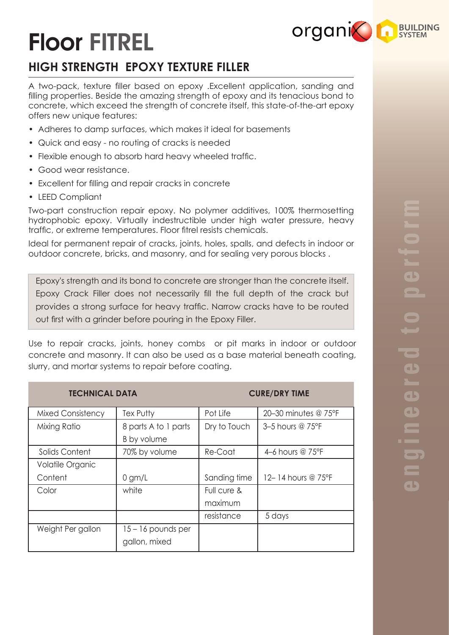# Floor FITREL

# **HIGH STRENGTH EPOXY TEXTURE FILLER**

A two-pack, texture filler based on epoxy .Excellent application, sanding and filling properties. Beside the amazing strength of epoxy and its tenacious bond to concrete, which exceed the strength of concrete itself, this state-of-the-art epoxy offers new unique features:

- Adheres to damp surfaces, which makes it ideal for basements
- Quick and easy no routing of cracks is needed
- Flexible enough to absorb hard heavy wheeled traffic.
- Good wear resistance.
- Excellent for filling and repair cracks in concrete
- LEED Compliant

Two-part construction repair epoxy. No polymer additives, 100% thermosetting hydrophobic epoxy. Virtually indestructible under high water pressure, heavy traffic, or extreme temperatures. Floor fitrel resists chemicals.

Ideal for permanent repair of cracks, joints, holes, spalls, and defects in indoor or outdoor concrete, bricks, and masonry, and for sealing very porous blocks .

Epoxy's strength and its bond to concrete are stronger than the concrete itself. Epoxy Crack Filler does not necessarily fill the full depth of the crack but provides a strong surface for heavy traffic. Narrow cracks have to be routed out first with a grinder before pouring in the Epoxy Filler.

Use to repair cracks, joints, honey combs or pit marks in indoor or outdoor concrete and masonry. It can also be used as a base material beneath coating, slurry, and mortar systems to repair before coating.

| <b>TECHNICAL DATA</b>    |                      | <b>CURE/DRY TIME</b> |                      |
|--------------------------|----------------------|----------------------|----------------------|
| <b>Mixed Consistency</b> | Tex Putty            | Pot Life             | 20-30 minutes @ 75°F |
| Mixing Ratio             | 8 parts A to 1 parts | Dry to Touch         | 3-5 hours @ 75°F     |
|                          | B by volume          |                      |                      |
| Solids Content           | 70% by volume        | Re-Coat              | 4-6 hours @ 75°F     |
| Volatile Organic         |                      |                      |                      |
| Content                  | $0$ gm/L             | Sanding time         | 12-14 hours @ 75°F   |
| Color                    | white                | Full cure &          |                      |
|                          |                      | maximum              |                      |
|                          |                      | resistance           | 5 days               |
| Weight Per gallon        | $15 - 16$ pounds per |                      |                      |
|                          | gallon, mixed        |                      |                      |

**organic Construction System**